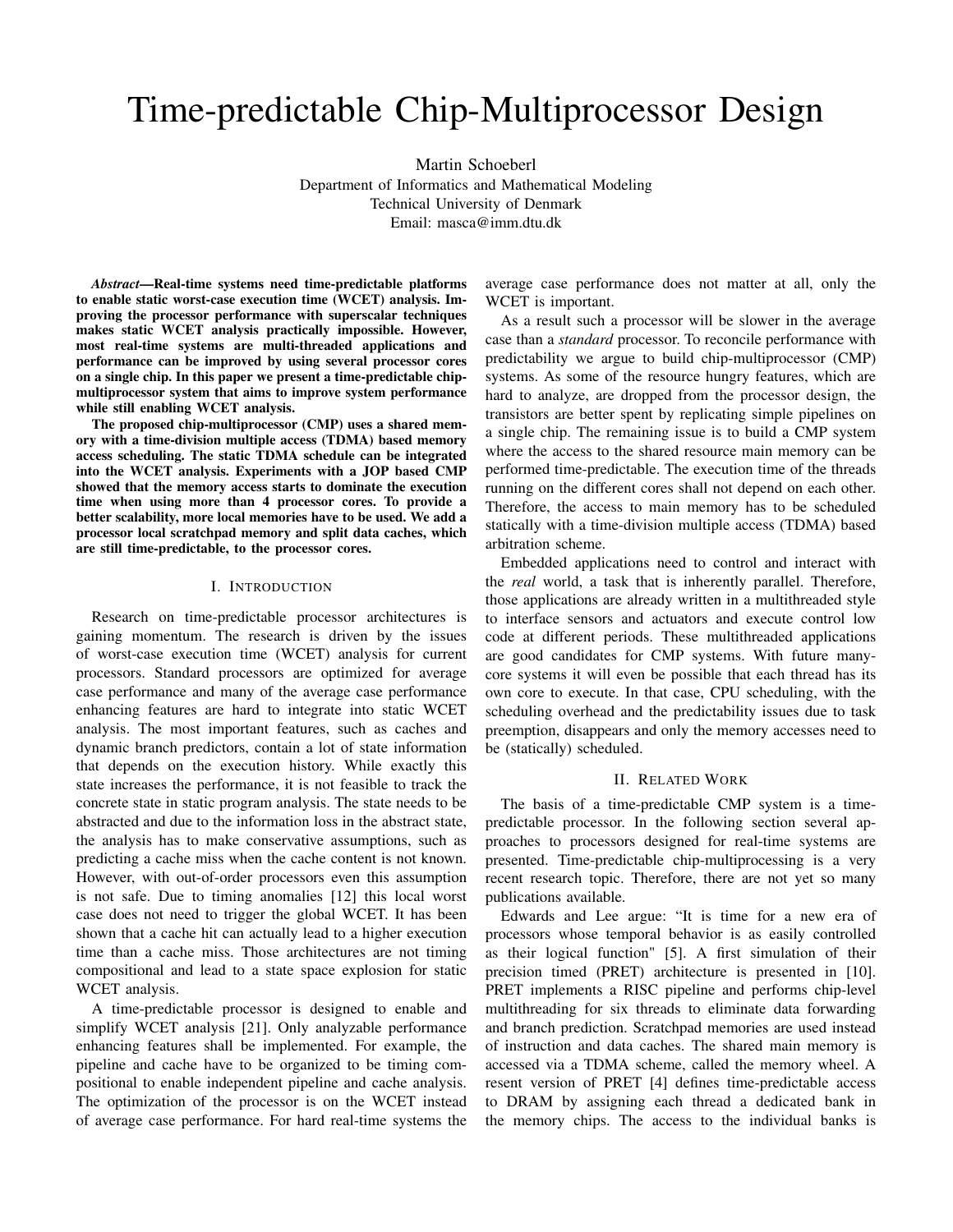# Time-predictable Chip-Multiprocessor Design

Martin Schoeberl Department of Informatics and Mathematical Modeling Technical University of Denmark Email: masca@imm.dtu.dk

*Abstract*—Real-time systems need time-predictable platforms to enable static worst-case execution time (WCET) analysis. Improving the processor performance with superscalar techniques makes static WCET analysis practically impossible. However, most real-time systems are multi-threaded applications and performance can be improved by using several processor cores on a single chip. In this paper we present a time-predictable chipmultiprocessor system that aims to improve system performance while still enabling WCET analysis.

The proposed chip-multiprocessor (CMP) uses a shared memory with a time-division multiple access (TDMA) based memory access scheduling. The static TDMA schedule can be integrated into the WCET analysis. Experiments with a JOP based CMP showed that the memory access starts to dominate the execution time when using more than 4 processor cores. To provide a better scalability, more local memories have to be used. We add a processor local scratchpad memory and split data caches, which are still time-predictable, to the processor cores.

#### I. INTRODUCTION

Research on time-predictable processor architectures is gaining momentum. The research is driven by the issues of worst-case execution time (WCET) analysis for current processors. Standard processors are optimized for average case performance and many of the average case performance enhancing features are hard to integrate into static WCET analysis. The most important features, such as caches and dynamic branch predictors, contain a lot of state information that depends on the execution history. While exactly this state increases the performance, it is not feasible to track the concrete state in static program analysis. The state needs to be abstracted and due to the information loss in the abstract state, the analysis has to make conservative assumptions, such as predicting a cache miss when the cache content is not known. However, with out-of-order processors even this assumption is not safe. Due to timing anomalies [12] this local worst case does not need to trigger the global WCET. It has been shown that a cache hit can actually lead to a higher execution time than a cache miss. Those architectures are not timing compositional and lead to a state space explosion for static WCET analysis.

A time-predictable processor is designed to enable and simplify WCET analysis [21]. Only analyzable performance enhancing features shall be implemented. For example, the pipeline and cache have to be organized to be timing compositional to enable independent pipeline and cache analysis. The optimization of the processor is on the WCET instead of average case performance. For hard real-time systems the average case performance does not matter at all, only the WCET is important.

As a result such a processor will be slower in the average case than a *standard* processor. To reconcile performance with predictability we argue to build chip-multiprocessor (CMP) systems. As some of the resource hungry features, which are hard to analyze, are dropped from the processor design, the transistors are better spent by replicating simple pipelines on a single chip. The remaining issue is to build a CMP system where the access to the shared resource main memory can be performed time-predictable. The execution time of the threads running on the different cores shall not depend on each other. Therefore, the access to main memory has to be scheduled statically with a time-division multiple access (TDMA) based arbitration scheme.

Embedded applications need to control and interact with the *real* world, a task that is inherently parallel. Therefore, those applications are already written in a multithreaded style to interface sensors and actuators and execute control low code at different periods. These multithreaded applications are good candidates for CMP systems. With future manycore systems it will even be possible that each thread has its own core to execute. In that case, CPU scheduling, with the scheduling overhead and the predictability issues due to task preemption, disappears and only the memory accesses need to be (statically) scheduled.

# II. RELATED WORK

The basis of a time-predictable CMP system is a timepredictable processor. In the following section several approaches to processors designed for real-time systems are presented. Time-predictable chip-multiprocessing is a very recent research topic. Therefore, there are not yet so many publications available.

Edwards and Lee argue: "It is time for a new era of processors whose temporal behavior is as easily controlled as their logical function" [5]. A first simulation of their precision timed (PRET) architecture is presented in [10]. PRET implements a RISC pipeline and performs chip-level multithreading for six threads to eliminate data forwarding and branch prediction. Scratchpad memories are used instead of instruction and data caches. The shared main memory is accessed via a TDMA scheme, called the memory wheel. A resent version of PRET [4] defines time-predictable access to DRAM by assigning each thread a dedicated bank in the memory chips. The access to the individual banks is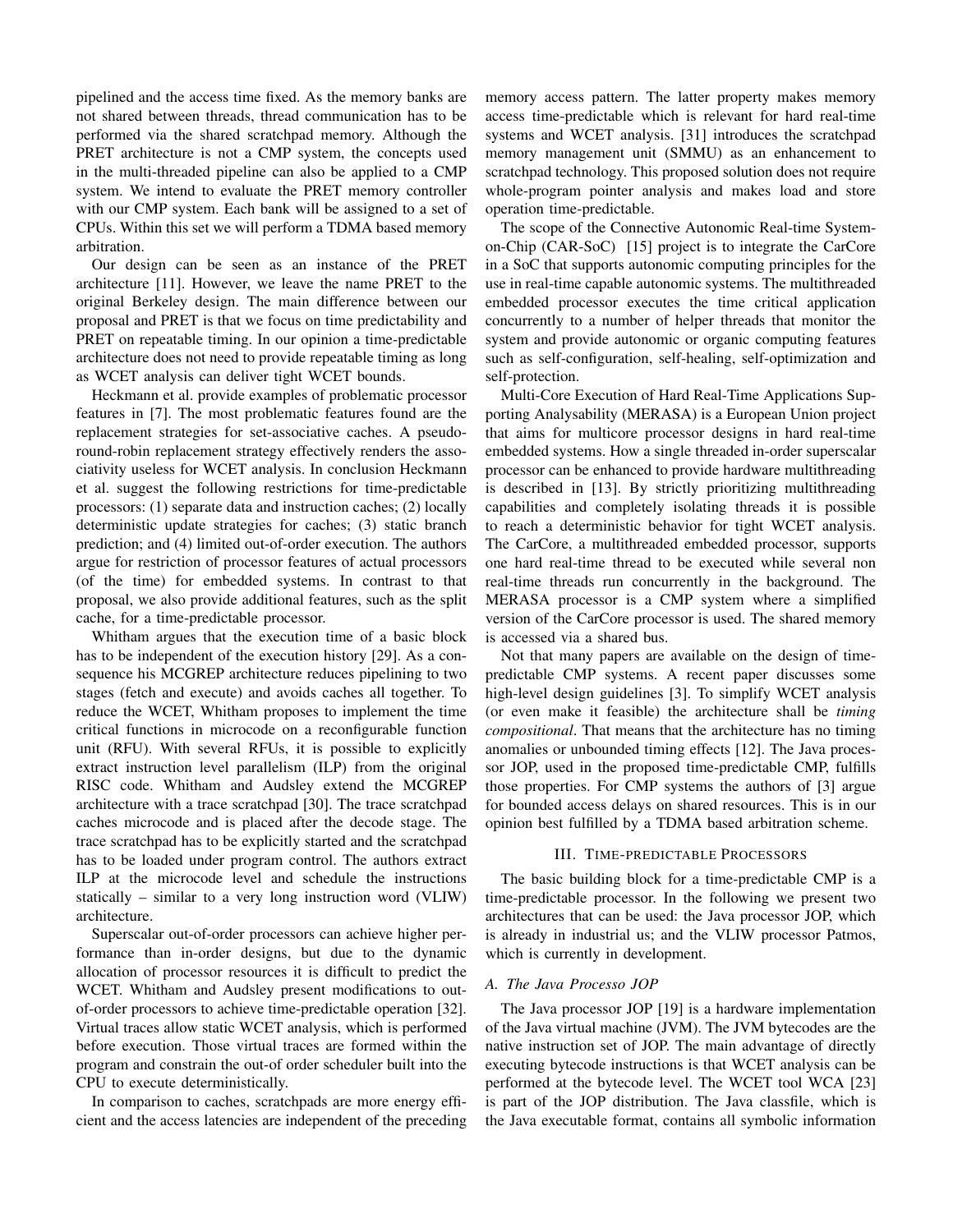pipelined and the access time fixed. As the memory banks are not shared between threads, thread communication has to be performed via the shared scratchpad memory. Although the PRET architecture is not a CMP system, the concepts used in the multi-threaded pipeline can also be applied to a CMP system. We intend to evaluate the PRET memory controller with our CMP system. Each bank will be assigned to a set of CPUs. Within this set we will perform a TDMA based memory arbitration.

Our design can be seen as an instance of the PRET architecture [11]. However, we leave the name PRET to the original Berkeley design. The main difference between our proposal and PRET is that we focus on time predictability and PRET on repeatable timing. In our opinion a time-predictable architecture does not need to provide repeatable timing as long as WCET analysis can deliver tight WCET bounds.

Heckmann et al. provide examples of problematic processor features in [7]. The most problematic features found are the replacement strategies for set-associative caches. A pseudoround-robin replacement strategy effectively renders the associativity useless for WCET analysis. In conclusion Heckmann et al. suggest the following restrictions for time-predictable processors: (1) separate data and instruction caches; (2) locally deterministic update strategies for caches; (3) static branch prediction; and (4) limited out-of-order execution. The authors argue for restriction of processor features of actual processors (of the time) for embedded systems. In contrast to that proposal, we also provide additional features, such as the split cache, for a time-predictable processor.

Whitham argues that the execution time of a basic block has to be independent of the execution history [29]. As a consequence his MCGREP architecture reduces pipelining to two stages (fetch and execute) and avoids caches all together. To reduce the WCET, Whitham proposes to implement the time critical functions in microcode on a reconfigurable function unit (RFU). With several RFUs, it is possible to explicitly extract instruction level parallelism (ILP) from the original RISC code. Whitham and Audsley extend the MCGREP architecture with a trace scratchpad [30]. The trace scratchpad caches microcode and is placed after the decode stage. The trace scratchpad has to be explicitly started and the scratchpad has to be loaded under program control. The authors extract ILP at the microcode level and schedule the instructions statically – similar to a very long instruction word (VLIW) architecture.

Superscalar out-of-order processors can achieve higher performance than in-order designs, but due to the dynamic allocation of processor resources it is difficult to predict the WCET. Whitham and Audsley present modifications to outof-order processors to achieve time-predictable operation [32]. Virtual traces allow static WCET analysis, which is performed before execution. Those virtual traces are formed within the program and constrain the out-of order scheduler built into the CPU to execute deterministically.

In comparison to caches, scratchpads are more energy efficient and the access latencies are independent of the preceding memory access pattern. The latter property makes memory access time-predictable which is relevant for hard real-time systems and WCET analysis. [31] introduces the scratchpad memory management unit (SMMU) as an enhancement to scratchpad technology. This proposed solution does not require whole-program pointer analysis and makes load and store operation time-predictable.

The scope of the Connective Autonomic Real-time Systemon-Chip (CAR-SoC) [15] project is to integrate the CarCore in a SoC that supports autonomic computing principles for the use in real-time capable autonomic systems. The multithreaded embedded processor executes the time critical application concurrently to a number of helper threads that monitor the system and provide autonomic or organic computing features such as self-configuration, self-healing, self-optimization and self-protection.

Multi-Core Execution of Hard Real-Time Applications Supporting Analysability (MERASA) is a European Union project that aims for multicore processor designs in hard real-time embedded systems. How a single threaded in-order superscalar processor can be enhanced to provide hardware multithreading is described in [13]. By strictly prioritizing multithreading capabilities and completely isolating threads it is possible to reach a deterministic behavior for tight WCET analysis. The CarCore, a multithreaded embedded processor, supports one hard real-time thread to be executed while several non real-time threads run concurrently in the background. The MERASA processor is a CMP system where a simplified version of the CarCore processor is used. The shared memory is accessed via a shared bus.

Not that many papers are available on the design of timepredictable CMP systems. A recent paper discusses some high-level design guidelines [3]. To simplify WCET analysis (or even make it feasible) the architecture shall be *timing compositional*. That means that the architecture has no timing anomalies or unbounded timing effects [12]. The Java processor JOP, used in the proposed time-predictable CMP, fulfills those properties. For CMP systems the authors of [3] argue for bounded access delays on shared resources. This is in our opinion best fulfilled by a TDMA based arbitration scheme.

# III. TIME-PREDICTABLE PROCESSORS

The basic building block for a time-predictable CMP is a time-predictable processor. In the following we present two architectures that can be used: the Java processor JOP, which is already in industrial us; and the VLIW processor Patmos, which is currently in development.

#### *A. The Java Processo JOP*

The Java processor JOP [19] is a hardware implementation of the Java virtual machine (JVM). The JVM bytecodes are the native instruction set of JOP. The main advantage of directly executing bytecode instructions is that WCET analysis can be performed at the bytecode level. The WCET tool WCA [23] is part of the JOP distribution. The Java classfile, which is the Java executable format, contains all symbolic information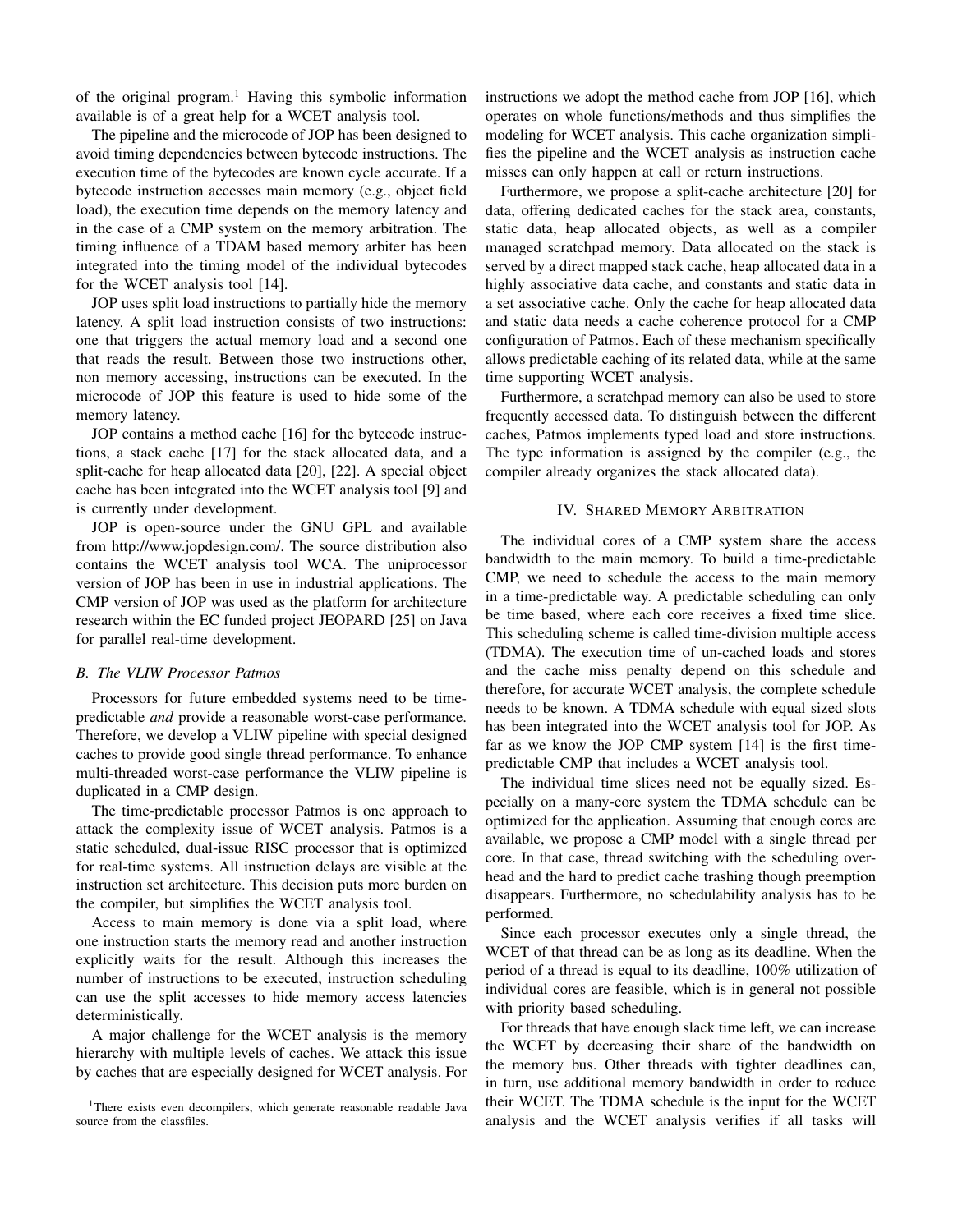of the original program.<sup>1</sup> Having this symbolic information available is of a great help for a WCET analysis tool.

The pipeline and the microcode of JOP has been designed to avoid timing dependencies between bytecode instructions. The execution time of the bytecodes are known cycle accurate. If a bytecode instruction accesses main memory (e.g., object field load), the execution time depends on the memory latency and in the case of a CMP system on the memory arbitration. The timing influence of a TDAM based memory arbiter has been integrated into the timing model of the individual bytecodes for the WCET analysis tool [14].

JOP uses split load instructions to partially hide the memory latency. A split load instruction consists of two instructions: one that triggers the actual memory load and a second one that reads the result. Between those two instructions other, non memory accessing, instructions can be executed. In the microcode of JOP this feature is used to hide some of the memory latency.

JOP contains a method cache [16] for the bytecode instructions, a stack cache [17] for the stack allocated data, and a split-cache for heap allocated data [20], [22]. A special object cache has been integrated into the WCET analysis tool [9] and is currently under development.

JOP is open-source under the GNU GPL and available from http://www.jopdesign.com/. The source distribution also contains the WCET analysis tool WCA. The uniprocessor version of JOP has been in use in industrial applications. The CMP version of JOP was used as the platform for architecture research within the EC funded project JEOPARD [25] on Java for parallel real-time development.

#### *B. The VLIW Processor Patmos*

Processors for future embedded systems need to be timepredictable *and* provide a reasonable worst-case performance. Therefore, we develop a VLIW pipeline with special designed caches to provide good single thread performance. To enhance multi-threaded worst-case performance the VLIW pipeline is duplicated in a CMP design.

The time-predictable processor Patmos is one approach to attack the complexity issue of WCET analysis. Patmos is a static scheduled, dual-issue RISC processor that is optimized for real-time systems. All instruction delays are visible at the instruction set architecture. This decision puts more burden on the compiler, but simplifies the WCET analysis tool.

Access to main memory is done via a split load, where one instruction starts the memory read and another instruction explicitly waits for the result. Although this increases the number of instructions to be executed, instruction scheduling can use the split accesses to hide memory access latencies deterministically.

A major challenge for the WCET analysis is the memory hierarchy with multiple levels of caches. We attack this issue by caches that are especially designed for WCET analysis. For instructions we adopt the method cache from JOP [16], which operates on whole functions/methods and thus simplifies the modeling for WCET analysis. This cache organization simplifies the pipeline and the WCET analysis as instruction cache misses can only happen at call or return instructions.

Furthermore, we propose a split-cache architecture [20] for data, offering dedicated caches for the stack area, constants, static data, heap allocated objects, as well as a compiler managed scratchpad memory. Data allocated on the stack is served by a direct mapped stack cache, heap allocated data in a highly associative data cache, and constants and static data in a set associative cache. Only the cache for heap allocated data and static data needs a cache coherence protocol for a CMP configuration of Patmos. Each of these mechanism specifically allows predictable caching of its related data, while at the same time supporting WCET analysis.

Furthermore, a scratchpad memory can also be used to store frequently accessed data. To distinguish between the different caches, Patmos implements typed load and store instructions. The type information is assigned by the compiler (e.g., the compiler already organizes the stack allocated data).

# IV. SHARED MEMORY ARBITRATION

The individual cores of a CMP system share the access bandwidth to the main memory. To build a time-predictable CMP, we need to schedule the access to the main memory in a time-predictable way. A predictable scheduling can only be time based, where each core receives a fixed time slice. This scheduling scheme is called time-division multiple access (TDMA). The execution time of un-cached loads and stores and the cache miss penalty depend on this schedule and therefore, for accurate WCET analysis, the complete schedule needs to be known. A TDMA schedule with equal sized slots has been integrated into the WCET analysis tool for JOP. As far as we know the JOP CMP system [14] is the first timepredictable CMP that includes a WCET analysis tool.

The individual time slices need not be equally sized. Especially on a many-core system the TDMA schedule can be optimized for the application. Assuming that enough cores are available, we propose a CMP model with a single thread per core. In that case, thread switching with the scheduling overhead and the hard to predict cache trashing though preemption disappears. Furthermore, no schedulability analysis has to be performed.

Since each processor executes only a single thread, the WCET of that thread can be as long as its deadline. When the period of a thread is equal to its deadline, 100% utilization of individual cores are feasible, which is in general not possible with priority based scheduling.

For threads that have enough slack time left, we can increase the WCET by decreasing their share of the bandwidth on the memory bus. Other threads with tighter deadlines can, in turn, use additional memory bandwidth in order to reduce their WCET. The TDMA schedule is the input for the WCET analysis and the WCET analysis verifies if all tasks will

<sup>&</sup>lt;sup>1</sup>There exists even decompilers, which generate reasonable readable Java source from the classfiles.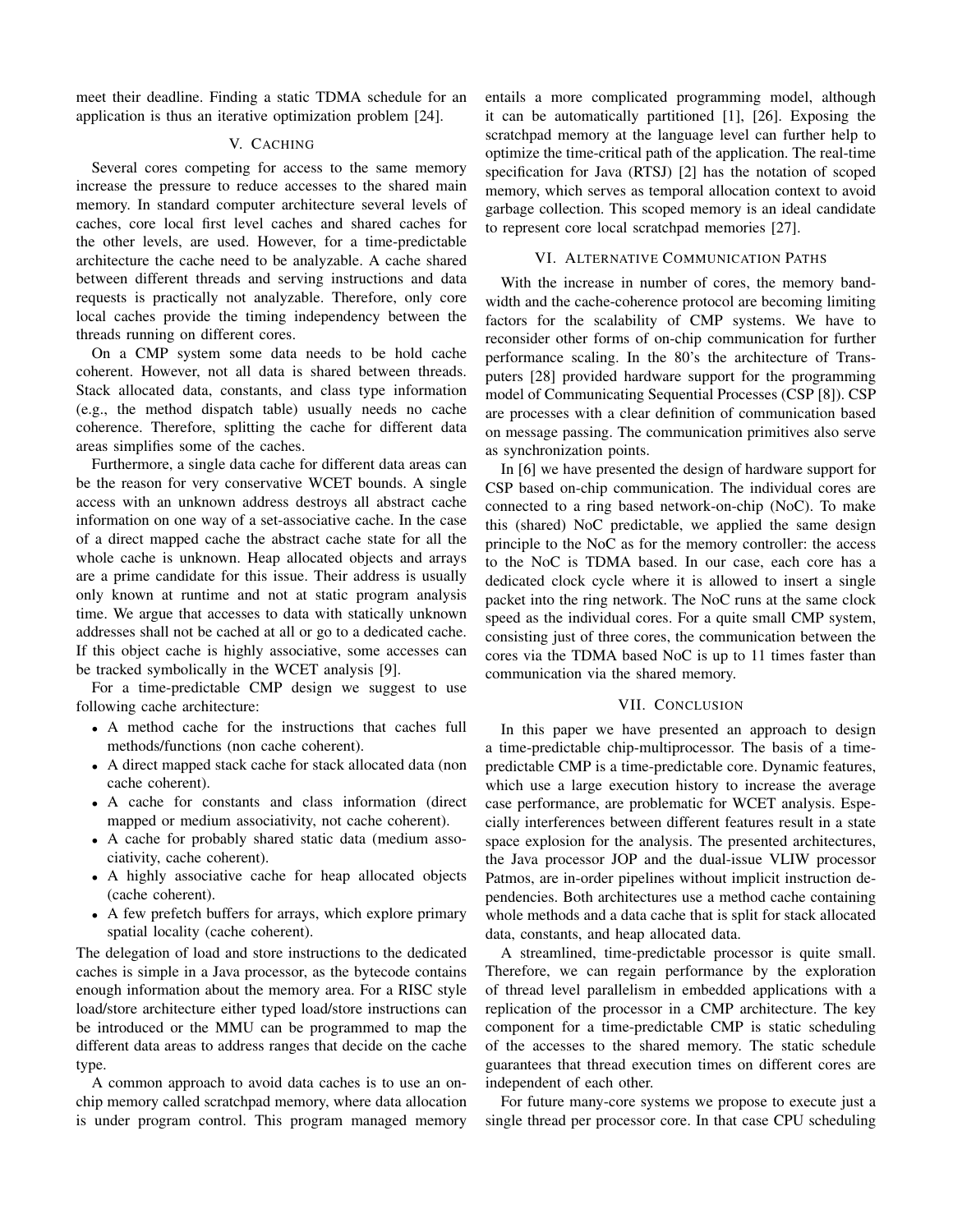meet their deadline. Finding a static TDMA schedule for an application is thus an iterative optimization problem [24].

# V. CACHING

Several cores competing for access to the same memory increase the pressure to reduce accesses to the shared main memory. In standard computer architecture several levels of caches, core local first level caches and shared caches for the other levels, are used. However, for a time-predictable architecture the cache need to be analyzable. A cache shared between different threads and serving instructions and data requests is practically not analyzable. Therefore, only core local caches provide the timing independency between the threads running on different cores.

On a CMP system some data needs to be hold cache coherent. However, not all data is shared between threads. Stack allocated data, constants, and class type information (e.g., the method dispatch table) usually needs no cache coherence. Therefore, splitting the cache for different data areas simplifies some of the caches.

Furthermore, a single data cache for different data areas can be the reason for very conservative WCET bounds. A single access with an unknown address destroys all abstract cache information on one way of a set-associative cache. In the case of a direct mapped cache the abstract cache state for all the whole cache is unknown. Heap allocated objects and arrays are a prime candidate for this issue. Their address is usually only known at runtime and not at static program analysis time. We argue that accesses to data with statically unknown addresses shall not be cached at all or go to a dedicated cache. If this object cache is highly associative, some accesses can be tracked symbolically in the WCET analysis [9].

For a time-predictable CMP design we suggest to use following cache architecture:

- A method cache for the instructions that caches full methods/functions (non cache coherent).
- A direct mapped stack cache for stack allocated data (non cache coherent).
- A cache for constants and class information (direct mapped or medium associativity, not cache coherent).
- A cache for probably shared static data (medium associativity, cache coherent).
- A highly associative cache for heap allocated objects (cache coherent).
- A few prefetch buffers for arrays, which explore primary spatial locality (cache coherent).

The delegation of load and store instructions to the dedicated caches is simple in a Java processor, as the bytecode contains enough information about the memory area. For a RISC style load/store architecture either typed load/store instructions can be introduced or the MMU can be programmed to map the different data areas to address ranges that decide on the cache type.

A common approach to avoid data caches is to use an onchip memory called scratchpad memory, where data allocation is under program control. This program managed memory entails a more complicated programming model, although it can be automatically partitioned [1], [26]. Exposing the scratchpad memory at the language level can further help to optimize the time-critical path of the application. The real-time specification for Java (RTSJ) [2] has the notation of scoped memory, which serves as temporal allocation context to avoid garbage collection. This scoped memory is an ideal candidate to represent core local scratchpad memories [27].

# VI. ALTERNATIVE COMMUNICATION PATHS

With the increase in number of cores, the memory bandwidth and the cache-coherence protocol are becoming limiting factors for the scalability of CMP systems. We have to reconsider other forms of on-chip communication for further performance scaling. In the 80's the architecture of Transputers [28] provided hardware support for the programming model of Communicating Sequential Processes (CSP [8]). CSP are processes with a clear definition of communication based on message passing. The communication primitives also serve as synchronization points.

In [6] we have presented the design of hardware support for CSP based on-chip communication. The individual cores are connected to a ring based network-on-chip (NoC). To make this (shared) NoC predictable, we applied the same design principle to the NoC as for the memory controller: the access to the NoC is TDMA based. In our case, each core has a dedicated clock cycle where it is allowed to insert a single packet into the ring network. The NoC runs at the same clock speed as the individual cores. For a quite small CMP system, consisting just of three cores, the communication between the cores via the TDMA based NoC is up to 11 times faster than communication via the shared memory.

### VII. CONCLUSION

In this paper we have presented an approach to design a time-predictable chip-multiprocessor. The basis of a timepredictable CMP is a time-predictable core. Dynamic features, which use a large execution history to increase the average case performance, are problematic for WCET analysis. Especially interferences between different features result in a state space explosion for the analysis. The presented architectures, the Java processor JOP and the dual-issue VLIW processor Patmos, are in-order pipelines without implicit instruction dependencies. Both architectures use a method cache containing whole methods and a data cache that is split for stack allocated data, constants, and heap allocated data.

A streamlined, time-predictable processor is quite small. Therefore, we can regain performance by the exploration of thread level parallelism in embedded applications with a replication of the processor in a CMP architecture. The key component for a time-predictable CMP is static scheduling of the accesses to the shared memory. The static schedule guarantees that thread execution times on different cores are independent of each other.

For future many-core systems we propose to execute just a single thread per processor core. In that case CPU scheduling